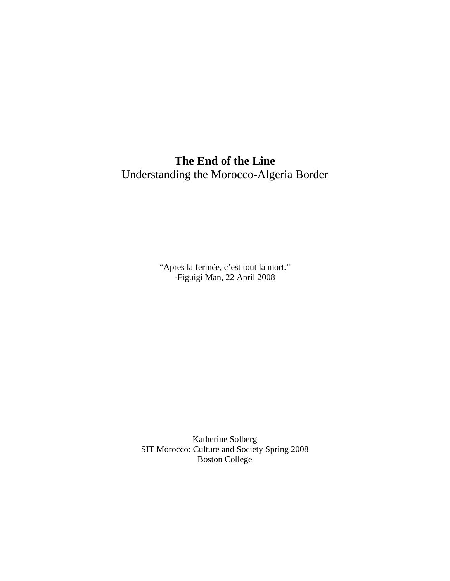# **The End of the Line**  Understanding the Morocco-Algeria Border

"Apres la fermée, c'est tout la mort." -Figuigi Man, 22 April 2008

Katherine Solberg SIT Morocco: Culture and Society Spring 2008 Boston College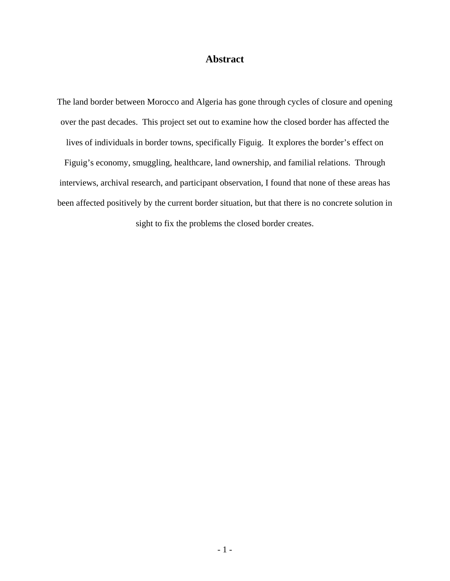## **Abstract**

The land border between Morocco and Algeria has gone through cycles of closure and opening over the past decades. This project set out to examine how the closed border has affected the lives of individuals in border towns, specifically Figuig. It explores the border's effect on Figuig's economy, smuggling, healthcare, land ownership, and familial relations. Through interviews, archival research, and participant observation, I found that none of these areas has been affected positively by the current border situation, but that there is no concrete solution in sight to fix the problems the closed border creates.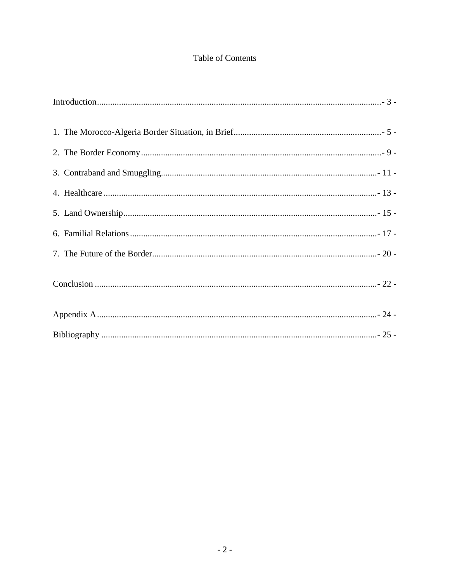## Table of Contents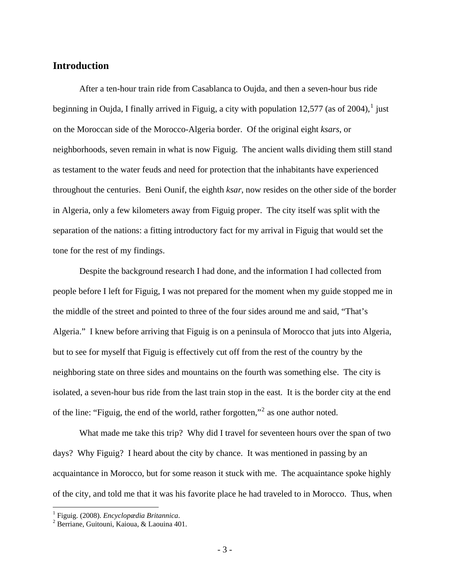## <span id="page-3-0"></span>**Introduction**

 After a ten-hour train ride from Casablanca to Oujda, and then a seven-hour bus ride beginning in Oujda, I finally arrived in Figuig, a city with population [1](#page-3-1)2,577 (as of 2004),<sup>1</sup> just on the Moroccan side of the Morocco-Algeria border. Of the original eight *ksars*, or neighborhoods, seven remain in what is now Figuig. The ancient walls dividing them still stand as testament to the water feuds and need for protection that the inhabitants have experienced throughout the centuries. Beni Ounif, the eighth *ksar*, now resides on the other side of the border in Algeria, only a few kilometers away from Figuig proper. The city itself was split with the separation of the nations: a fitting introductory fact for my arrival in Figuig that would set the tone for the rest of my findings.

Despite the background research I had done, and the information I had collected from people before I left for Figuig, I was not prepared for the moment when my guide stopped me in the middle of the street and pointed to three of the four sides around me and said, "That's Algeria." I knew before arriving that Figuig is on a peninsula of Morocco that juts into Algeria, but to see for myself that Figuig is effectively cut off from the rest of the country by the neighboring state on three sides and mountains on the fourth was something else. The city is isolated, a seven-hour bus ride from the last train stop in the east. It is the border city at the end of the line: "Figuig, the end of the world, rather forgotten,"<sup>[2](#page-3-2)</sup> as one author noted.

What made me take this trip? Why did I travel for seventeen hours over the span of two days? Why Figuig? I heard about the city by chance. It was mentioned in passing by an acquaintance in Morocco, but for some reason it stuck with me. The acquaintance spoke highly of the city, and told me that it was his favorite place he had traveled to in Morocco. Thus, when

<span id="page-3-1"></span><sup>1</sup> Figuig. (2008). *Encyclopædia Britannica*. <sup>2</sup> Berriane, Guitouni, Kaioua, & Laouina 401.

<span id="page-3-2"></span>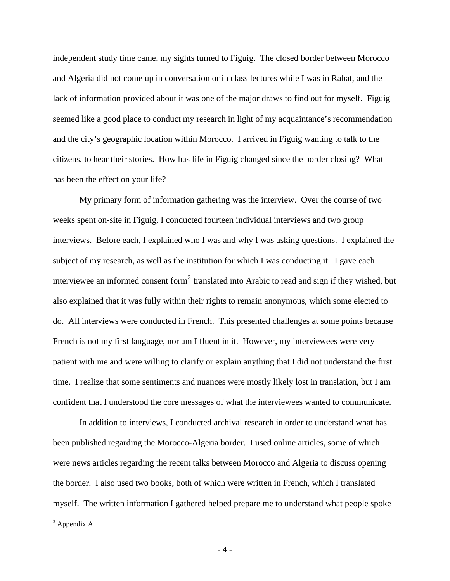independent study time came, my sights turned to Figuig. The closed border between Morocco and Algeria did not come up in conversation or in class lectures while I was in Rabat, and the lack of information provided about it was one of the major draws to find out for myself. Figuig seemed like a good place to conduct my research in light of my acquaintance's recommendation and the city's geographic location within Morocco. I arrived in Figuig wanting to talk to the citizens, to hear their stories. How has life in Figuig changed since the border closing? What has been the effect on your life?

 My primary form of information gathering was the interview. Over the course of two weeks spent on-site in Figuig, I conducted fourteen individual interviews and two group interviews. Before each, I explained who I was and why I was asking questions. I explained the subject of my research, as well as the institution for which I was conducting it. I gave each interviewee an informed consent form<sup>[3](#page-4-0)</sup> translated into Arabic to read and sign if they wished, but also explained that it was fully within their rights to remain anonymous, which some elected to do. All interviews were conducted in French. This presented challenges at some points because French is not my first language, nor am I fluent in it. However, my interviewees were very patient with me and were willing to clarify or explain anything that I did not understand the first time. I realize that some sentiments and nuances were mostly likely lost in translation, but I am confident that I understood the core messages of what the interviewees wanted to communicate.

In addition to interviews, I conducted archival research in order to understand what has been published regarding the Morocco-Algeria border. I used online articles, some of which were news articles regarding the recent talks between Morocco and Algeria to discuss opening the border. I also used two books, both of which were written in French, which I translated myself. The written information I gathered helped prepare me to understand what people spoke

<span id="page-4-0"></span> $3$  Appendix A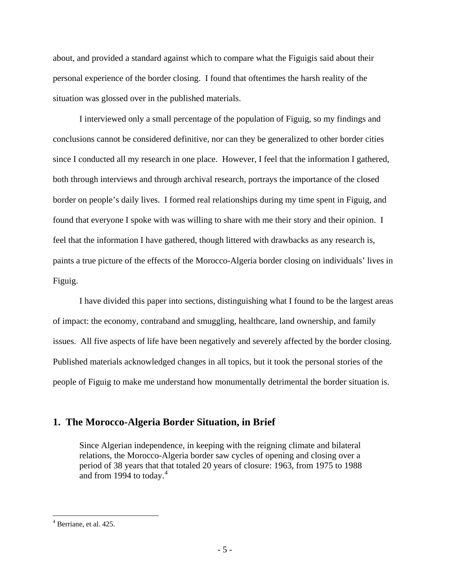<span id="page-5-0"></span>about, and provided a standard against which to compare what the Figuigis said about their personal experience of the border closing. I found that oftentimes the harsh reality of the situation was glossed over in the published materials.

I interviewed only a small percentage of the population of Figuig, so my findings and conclusions cannot be considered definitive, nor can they be generalized to other border cities since I conducted all my research in one place. However, I feel that the information I gathered, both through interviews and through archival research, portrays the importance of the closed border on people's daily lives. I formed real relationships during my time spent in Figuig, and found that everyone I spoke with was willing to share with me their story and their opinion. I feel that the information I have gathered, though littered with drawbacks as any research is, paints a true picture of the effects of the Morocco-Algeria border closing on individuals' lives in Figuig.

I have divided this paper into sections, distinguishing what I found to be the largest areas of impact: the economy, contraband and smuggling, healthcare, land ownership, and family issues. All five aspects of life have been negatively and severely affected by the border closing. Published materials acknowledged changes in all topics, but it took the personal stories of the people of Figuig to make me understand how monumentally detrimental the border situation is.

### **1. The Morocco-Algeria Border Situation, in Brief**

Since Algerian independence, in keeping with the reigning climate and bilateral relations, the Morocco-Algeria border saw cycles of opening and closing over a period of 38 years that that totaled 20 years of closure: 1963, from 1975 to 1988 and from 199[4](#page-5-1) to today. $4$ 

<span id="page-5-1"></span> $<sup>4</sup>$  Berriane, et al. 425.</sup>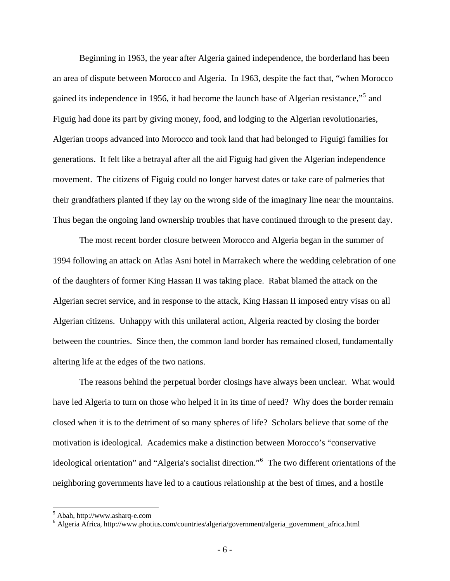Beginning in 1963, the year after Algeria gained independence, the borderland has been an area of dispute between Morocco and Algeria. In 1963, despite the fact that, "when Morocco gained its independence in 19[5](#page-6-0)6, it had become the launch base of Algerian resistance,"<sup>5</sup> and Figuig had done its part by giving money, food, and lodging to the Algerian revolutionaries, Algerian troops advanced into Morocco and took land that had belonged to Figuigi families for generations. It felt like a betrayal after all the aid Figuig had given the Algerian independence movement. The citizens of Figuig could no longer harvest dates or take care of palmeries that their grandfathers planted if they lay on the wrong side of the imaginary line near the mountains. Thus began the ongoing land ownership troubles that have continued through to the present day.

The most recent border closure between Morocco and Algeria began in the summer of 1994 following an attack on Atlas Asni hotel in Marrakech where the wedding celebration of one of the daughters of former King Hassan II was taking place. Rabat blamed the attack on the Algerian secret service, and in response to the attack, King Hassan II imposed entry visas on all Algerian citizens. Unhappy with this unilateral action, Algeria reacted by closing the border between the countries. Since then, the common land border has remained closed, fundamentally altering life at the edges of the two nations.

The reasons behind the perpetual border closings have always been unclear. What would have led Algeria to turn on those who helped it in its time of need? Why does the border remain closed when it is to the detriment of so many spheres of life? Scholars believe that some of the motivation is ideological. Academics make a distinction between Morocco's "conservative ideological orientation" and "Algeria's socialist direction."[6](#page-6-1) The two different orientations of the neighboring governments have led to a cautious relationship at the best of times, and a hostile

<span id="page-6-0"></span><sup>5</sup> Abah, http://www.asharq-e.com

<span id="page-6-1"></span><sup>6</sup> Algeria Africa, http://www.photius.com/countries/algeria/government/algeria\_government\_africa.html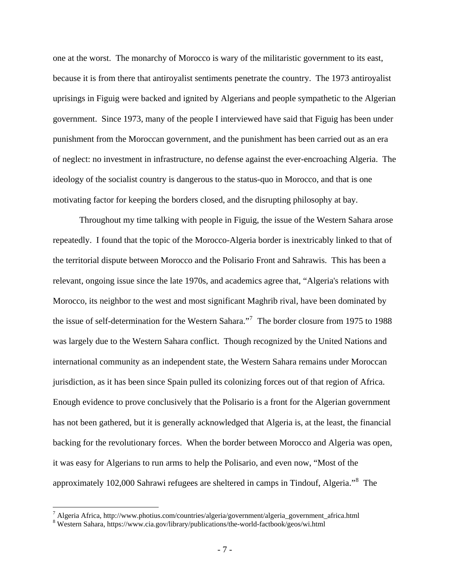one at the worst. The monarchy of Morocco is wary of the militaristic government to its east, because it is from there that antiroyalist sentiments penetrate the country. The 1973 antiroyalist uprisings in Figuig were backed and ignited by Algerians and people sympathetic to the Algerian government. Since 1973, many of the people I interviewed have said that Figuig has been under punishment from the Moroccan government, and the punishment has been carried out as an era of neglect: no investment in infrastructure, no defense against the ever-encroaching Algeria. The ideology of the socialist country is dangerous to the status-quo in Morocco, and that is one motivating factor for keeping the borders closed, and the disrupting philosophy at bay.

Throughout my time talking with people in Figuig, the issue of the Western Sahara arose repeatedly. I found that the topic of the Morocco-Algeria border is inextricably linked to that of the territorial dispute between Morocco and the Polisario Front and Sahrawis. This has been a relevant, ongoing issue since the late 1970s, and academics agree that, "Algeria's relations with Morocco, its neighbor to the west and most significant Maghrib rival, have been dominated by the issue of self-determination for the Western Sahara.<sup>"[7](#page-7-0)</sup> The border closure from 1975 to 1988 was largely due to the Western Sahara conflict. Though recognized by the United Nations and international community as an independent state, the Western Sahara remains under Moroccan jurisdiction, as it has been since Spain pulled its colonizing forces out of that region of Africa. Enough evidence to prove conclusively that the Polisario is a front for the Algerian government has not been gathered, but it is generally acknowledged that Algeria is, at the least, the financial backing for the revolutionary forces. When the border between Morocco and Algeria was open, it was easy for Algerians to run arms to help the Polisario, and even now, "Most of the approximately 102,000 Sahrawi refugees are sheltered in camps in Tindouf, Algeria."<sup>[8](#page-7-1)</sup> The

<span id="page-7-0"></span> $^7$  Algeria Africa, http://www.photius.com/countries/algeria/government/algeria\_government\_africa.html

<span id="page-7-1"></span>Western Sahara, https://www.cia.gov/library/publications/the-world-factbook/geos/wi.html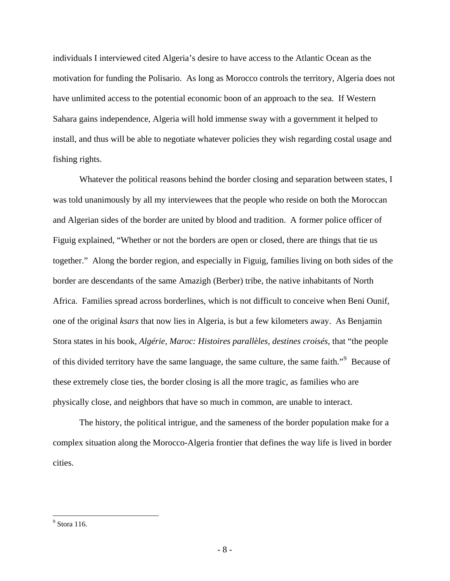individuals I interviewed cited Algeria's desire to have access to the Atlantic Ocean as the motivation for funding the Polisario. As long as Morocco controls the territory, Algeria does not have unlimited access to the potential economic boon of an approach to the sea. If Western Sahara gains independence, Algeria will hold immense sway with a government it helped to install, and thus will be able to negotiate whatever policies they wish regarding costal usage and fishing rights.

Whatever the political reasons behind the border closing and separation between states, I was told unanimously by all my interviewees that the people who reside on both the Moroccan and Algerian sides of the border are united by blood and tradition. A former police officer of Figuig explained, "Whether or not the borders are open or closed, there are things that tie us together." Along the border region, and especially in Figuig, families living on both sides of the border are descendants of the same Amazigh (Berber) tribe, the native inhabitants of North Africa. Families spread across borderlines, which is not difficult to conceive when Beni Ounif, one of the original *ksars* that now lies in Algeria, is but a few kilometers away. As Benjamin Stora states in his book, *Algérie, Maroc: Histoires parallèles, destines croisés*, that "the people of this divided territory have the same language, the same culture, the same faith."<sup>[9](#page-8-0)</sup> Because of these extremely close ties, the border closing is all the more tragic, as families who are physically close, and neighbors that have so much in common, are unable to interact.

The history, the political intrigue, and the sameness of the border population make for a complex situation along the Morocco-Algeria frontier that defines the way life is lived in border cities.

<span id="page-8-0"></span><sup>&</sup>lt;sup>9</sup> Stora 116.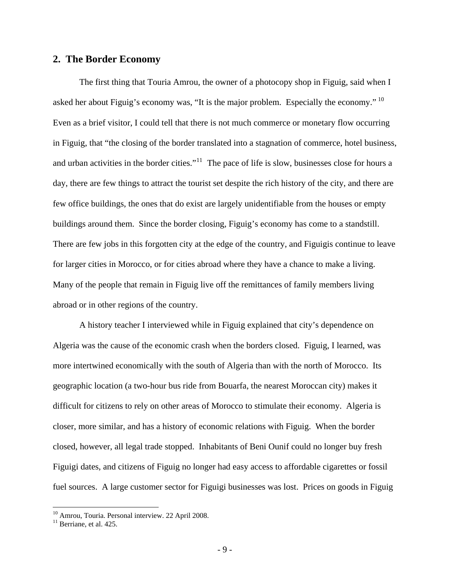### <span id="page-9-0"></span>**2. The Border Economy**

The first thing that Touria Amrou, the owner of a photocopy shop in Figuig, said when I asked her about Figuig's economy was, "It is the major problem. Especially the economy." [10](#page-9-1) Even as a brief visitor, I could tell that there is not much commerce or monetary flow occurring in Figuig, that "the closing of the border translated into a stagnation of commerce, hotel business, and urban activities in the border cities."<sup>[11](#page-9-2)</sup> The pace of life is slow, businesses close for hours a day, there are few things to attract the tourist set despite the rich history of the city, and there are few office buildings, the ones that do exist are largely unidentifiable from the houses or empty buildings around them. Since the border closing, Figuig's economy has come to a standstill. There are few jobs in this forgotten city at the edge of the country, and Figuigis continue to leave for larger cities in Morocco, or for cities abroad where they have a chance to make a living. Many of the people that remain in Figuig live off the remittances of family members living abroad or in other regions of the country.

 A history teacher I interviewed while in Figuig explained that city's dependence on Algeria was the cause of the economic crash when the borders closed. Figuig, I learned, was more intertwined economically with the south of Algeria than with the north of Morocco. Its geographic location (a two-hour bus ride from Bouarfa, the nearest Moroccan city) makes it difficult for citizens to rely on other areas of Morocco to stimulate their economy. Algeria is closer, more similar, and has a history of economic relations with Figuig. When the border closed, however, all legal trade stopped. Inhabitants of Beni Ounif could no longer buy fresh Figuigi dates, and citizens of Figuig no longer had easy access to affordable cigarettes or fossil fuel sources. A large customer sector for Figuigi businesses was lost. Prices on goods in Figuig

<sup>&</sup>lt;sup>10</sup> Amrou, Touria. Personal interview. 22 April 2008.

<span id="page-9-2"></span><span id="page-9-1"></span> $11$  Berriane, et al. 425.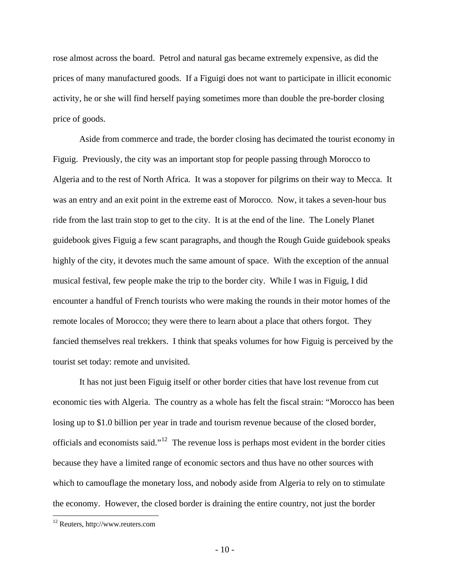rose almost across the board. Petrol and natural gas became extremely expensive, as did the prices of many manufactured goods. If a Figuigi does not want to participate in illicit economic activity, he or she will find herself paying sometimes more than double the pre-border closing price of goods.

 Aside from commerce and trade, the border closing has decimated the tourist economy in Figuig. Previously, the city was an important stop for people passing through Morocco to Algeria and to the rest of North Africa. It was a stopover for pilgrims on their way to Mecca. It was an entry and an exit point in the extreme east of Morocco. Now, it takes a seven-hour bus ride from the last train stop to get to the city. It is at the end of the line. The Lonely Planet guidebook gives Figuig a few scant paragraphs, and though the Rough Guide guidebook speaks highly of the city, it devotes much the same amount of space. With the exception of the annual musical festival, few people make the trip to the border city. While I was in Figuig, I did encounter a handful of French tourists who were making the rounds in their motor homes of the remote locales of Morocco; they were there to learn about a place that others forgot. They fancied themselves real trekkers. I think that speaks volumes for how Figuig is perceived by the tourist set today: remote and unvisited.

It has not just been Figuig itself or other border cities that have lost revenue from cut economic ties with Algeria. The country as a whole has felt the fiscal strain: "Morocco has been losing up to \$1.0 billion per year in trade and tourism revenue because of the closed border, officials and economists said."[12](#page-10-0) The revenue loss is perhaps most evident in the border cities because they have a limited range of economic sectors and thus have no other sources with which to camouflage the monetary loss, and nobody aside from Algeria to rely on to stimulate the economy. However, the closed border is draining the entire country, not just the border

<span id="page-10-0"></span><sup>12</sup> Reuters, http://www.reuters.com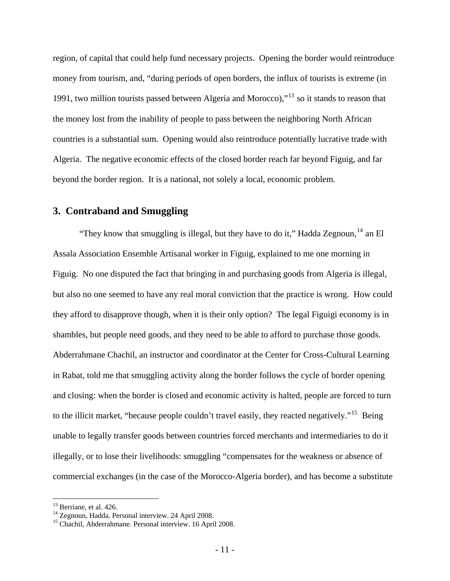<span id="page-11-0"></span>region, of capital that could help fund necessary projects. Opening the border would reintroduce money from tourism, and, "during periods of open borders, the influx of tourists is extreme (in 1991, two million tourists passed between Algeria and Morocco),"[13](#page-11-1) so it stands to reason that the money lost from the inability of people to pass between the neighboring North African countries is a substantial sum. Opening would also reintroduce potentially lucrative trade with Algeria. The negative economic effects of the closed border reach far beyond Figuig, and far beyond the border region. It is a national, not solely a local, economic problem.

### **3. Contraband and Smuggling**

"They know that smuggling is illegal, but they have to do it," Hadda Zegnoun,  $^{14}$  $^{14}$  $^{14}$  an El Assala Association Ensemble Artisanal worker in Figuig, explained to me one morning in Figuig. No one disputed the fact that bringing in and purchasing goods from Algeria is illegal, but also no one seemed to have any real moral conviction that the practice is wrong. How could they afford to disapprove though, when it is their only option? The legal Figuigi economy is in shambles, but people need goods, and they need to be able to afford to purchase those goods. Abderrahmane Chachil, an instructor and coordinator at the Center for Cross-Cultural Learning in Rabat, told me that smuggling activity along the border follows the cycle of border opening and closing: when the border is closed and economic activity is halted, people are forced to turn to the illicit market, "because people couldn't travel easily, they reacted negatively."<sup>[15](#page-11-3)</sup> Being unable to legally transfer goods between countries forced merchants and intermediaries to do it illegally, or to lose their livelihoods: smuggling "compensates for the weakness or absence of commercial exchanges (in the case of the Morocco-Algeria border), and has become a substitute

<span id="page-11-2"></span><span id="page-11-1"></span> $13$  Berriane, et al. 426.<br> $14$  Zegnoun, Hadda. Personal interview. 24 April 2008.

<span id="page-11-3"></span><sup>&</sup>lt;sup>15</sup> Chachil, Abderrahmane. Personal interview. 16 April 2008.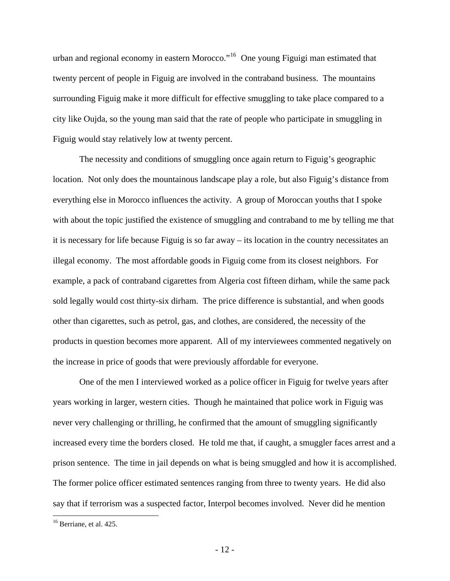urban and regional economy in eastern Morocco."<sup>[16](#page-12-0)</sup> One young Figuigi man estimated that twenty percent of people in Figuig are involved in the contraband business. The mountains surrounding Figuig make it more difficult for effective smuggling to take place compared to a city like Oujda, so the young man said that the rate of people who participate in smuggling in Figuig would stay relatively low at twenty percent.

The necessity and conditions of smuggling once again return to Figuig's geographic location. Not only does the mountainous landscape play a role, but also Figuig's distance from everything else in Morocco influences the activity. A group of Moroccan youths that I spoke with about the topic justified the existence of smuggling and contraband to me by telling me that it is necessary for life because Figuig is so far away – its location in the country necessitates an illegal economy. The most affordable goods in Figuig come from its closest neighbors. For example, a pack of contraband cigarettes from Algeria cost fifteen dirham, while the same pack sold legally would cost thirty-six dirham. The price difference is substantial, and when goods other than cigarettes, such as petrol, gas, and clothes, are considered, the necessity of the products in question becomes more apparent. All of my interviewees commented negatively on the increase in price of goods that were previously affordable for everyone.

One of the men I interviewed worked as a police officer in Figuig for twelve years after years working in larger, western cities. Though he maintained that police work in Figuig was never very challenging or thrilling, he confirmed that the amount of smuggling significantly increased every time the borders closed. He told me that, if caught, a smuggler faces arrest and a prison sentence. The time in jail depends on what is being smuggled and how it is accomplished. The former police officer estimated sentences ranging from three to twenty years. He did also say that if terrorism was a suspected factor, Interpol becomes involved. Never did he mention

<span id="page-12-0"></span><sup>&</sup>lt;sup>16</sup> Berriane, et al. 425.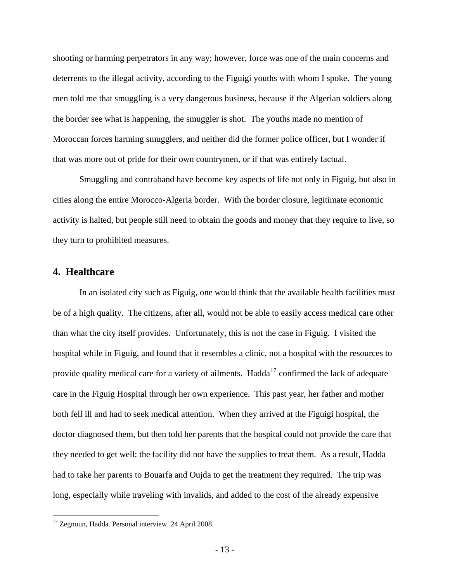<span id="page-13-0"></span>shooting or harming perpetrators in any way; however, force was one of the main concerns and deterrents to the illegal activity, according to the Figuigi youths with whom I spoke. The young men told me that smuggling is a very dangerous business, because if the Algerian soldiers along the border see what is happening, the smuggler is shot. The youths made no mention of Moroccan forces harming smugglers, and neither did the former police officer, but I wonder if that was more out of pride for their own countrymen, or if that was entirely factual.

Smuggling and contraband have become key aspects of life not only in Figuig, but also in cities along the entire Morocco-Algeria border. With the border closure, legitimate economic activity is halted, but people still need to obtain the goods and money that they require to live, so they turn to prohibited measures.

### **4. Healthcare**

 $\overline{a}$ 

In an isolated city such as Figuig, one would think that the available health facilities must be of a high quality. The citizens, after all, would not be able to easily access medical care other than what the city itself provides. Unfortunately, this is not the case in Figuig. I visited the hospital while in Figuig, and found that it resembles a clinic, not a hospital with the resources to provide quality medical care for a variety of ailments. Hadda<sup>[17](#page-13-1)</sup> confirmed the lack of adequate care in the Figuig Hospital through her own experience. This past year, her father and mother both fell ill and had to seek medical attention. When they arrived at the Figuigi hospital, the doctor diagnosed them, but then told her parents that the hospital could not provide the care that they needed to get well; the facility did not have the supplies to treat them. As a result, Hadda had to take her parents to Bouarfa and Oujda to get the treatment they required. The trip was long, especially while traveling with invalids, and added to the cost of the already expensive

<span id="page-13-1"></span><sup>&</sup>lt;sup>17</sup> Zegnoun, Hadda. Personal interview. 24 April 2008.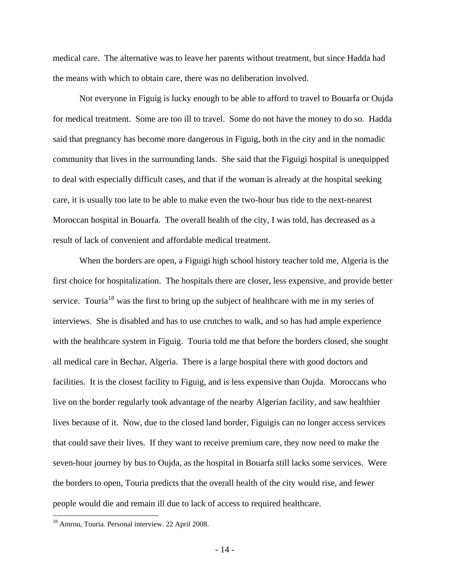medical care. The alternative was to leave her parents without treatment, but since Hadda had the means with which to obtain care, there was no deliberation involved.

Not everyone in Figuig is lucky enough to be able to afford to travel to Bouarfa or Oujda for medical treatment. Some are too ill to travel. Some do not have the money to do so. Hadda said that pregnancy has become more dangerous in Figuig, both in the city and in the nomadic community that lives in the surrounding lands. She said that the Figuigi hospital is unequipped to deal with especially difficult cases, and that if the woman is already at the hospital seeking care, it is usually too late to be able to make even the two-hour bus ride to the next-nearest Moroccan hospital in Bouarfa. The overall health of the city, I was told, has decreased as a result of lack of convenient and affordable medical treatment.

When the borders are open, a Figuigi high school history teacher told me, Algeria is the first choice for hospitalization. The hospitals there are closer, less expensive, and provide better service. Touria<sup>[18](#page-14-0)</sup> was the first to bring up the subject of healthcare with me in my series of interviews. She is disabled and has to use crutches to walk, and so has had ample experience with the healthcare system in Figuig. Touria told me that before the borders closed, she sought all medical care in Bechar, Algeria. There is a large hospital there with good doctors and facilities. It is the closest facility to Figuig, and is less expensive than Oujda. Moroccans who live on the border regularly took advantage of the nearby Algerian facility, and saw healthier lives because of it. Now, due to the closed land border, Figuigis can no longer access services that could save their lives. If they want to receive premium care, they now need to make the seven-hour journey by bus to Oujda, as the hospital in Bouarfa still lacks some services. Were the borders to open, Touria predicts that the overall health of the city would rise, and fewer people would die and remain ill due to lack of access to required healthcare.

<span id="page-14-0"></span><sup>18</sup> Amrou, Touria. Personal interview. 22 April 2008.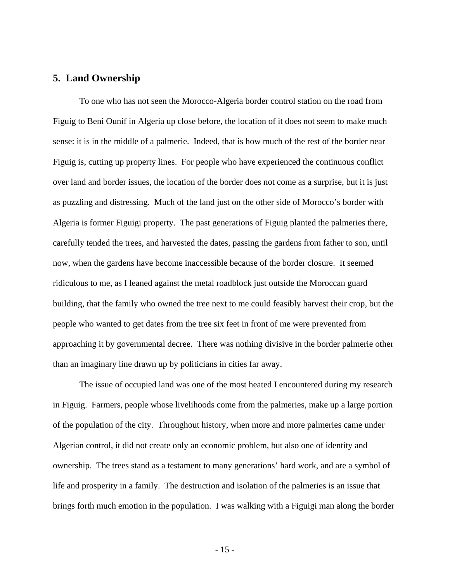## <span id="page-15-0"></span>**5. Land Ownership**

 To one who has not seen the Morocco-Algeria border control station on the road from Figuig to Beni Ounif in Algeria up close before, the location of it does not seem to make much sense: it is in the middle of a palmerie. Indeed, that is how much of the rest of the border near Figuig is, cutting up property lines. For people who have experienced the continuous conflict over land and border issues, the location of the border does not come as a surprise, but it is just as puzzling and distressing. Much of the land just on the other side of Morocco's border with Algeria is former Figuigi property. The past generations of Figuig planted the palmeries there, carefully tended the trees, and harvested the dates, passing the gardens from father to son, until now, when the gardens have become inaccessible because of the border closure. It seemed ridiculous to me, as I leaned against the metal roadblock just outside the Moroccan guard building, that the family who owned the tree next to me could feasibly harvest their crop, but the people who wanted to get dates from the tree six feet in front of me were prevented from approaching it by governmental decree. There was nothing divisive in the border palmerie other than an imaginary line drawn up by politicians in cities far away.

The issue of occupied land was one of the most heated I encountered during my research in Figuig. Farmers, people whose livelihoods come from the palmeries, make up a large portion of the population of the city. Throughout history, when more and more palmeries came under Algerian control, it did not create only an economic problem, but also one of identity and ownership. The trees stand as a testament to many generations' hard work, and are a symbol of life and prosperity in a family. The destruction and isolation of the palmeries is an issue that brings forth much emotion in the population. I was walking with a Figuigi man along the border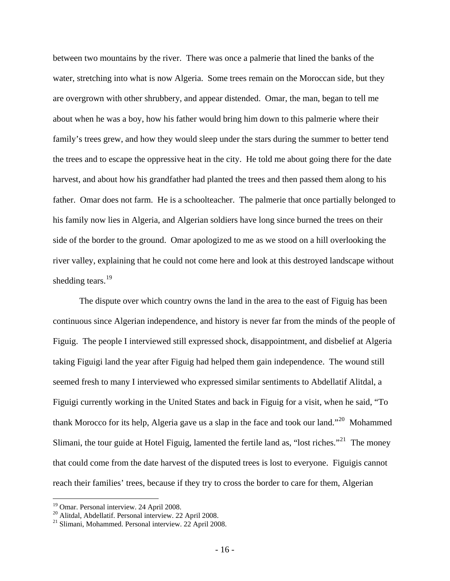between two mountains by the river. There was once a palmerie that lined the banks of the water, stretching into what is now Algeria. Some trees remain on the Moroccan side, but they are overgrown with other shrubbery, and appear distended. Omar, the man, began to tell me about when he was a boy, how his father would bring him down to this palmerie where their family's trees grew, and how they would sleep under the stars during the summer to better tend the trees and to escape the oppressive heat in the city. He told me about going there for the date harvest, and about how his grandfather had planted the trees and then passed them along to his father. Omar does not farm. He is a schoolteacher. The palmerie that once partially belonged to his family now lies in Algeria, and Algerian soldiers have long since burned the trees on their side of the border to the ground. Omar apologized to me as we stood on a hill overlooking the river valley, explaining that he could not come here and look at this destroyed landscape without shedding tears. $^{19}$  $^{19}$  $^{19}$ 

The dispute over which country owns the land in the area to the east of Figuig has been continuous since Algerian independence, and history is never far from the minds of the people of Figuig. The people I interviewed still expressed shock, disappointment, and disbelief at Algeria taking Figuigi land the year after Figuig had helped them gain independence. The wound still seemed fresh to many I interviewed who expressed similar sentiments to Abdellatif Alitdal, a Figuigi currently working in the United States and back in Figuig for a visit, when he said, "To thank Morocco for its help, Algeria gave us a slap in the face and took our land."[20](#page-16-1) Mohammed Slimani, the tour guide at Hotel Figuig, lamented the fertile land as, "lost riches."<sup>[21](#page-16-2)</sup> The money that could come from the date harvest of the disputed trees is lost to everyone. Figuigis cannot reach their families' trees, because if they try to cross the border to care for them, Algerian

<sup>&</sup>lt;sup>19</sup> Omar. Personal interview. 24 April 2008.

<span id="page-16-1"></span><span id="page-16-0"></span><sup>20</sup> Alitdal, Abdellatif. Personal interview. 22 April 2008.

<span id="page-16-2"></span><sup>21</sup> Slimani, Mohammed. Personal interview. 22 April 2008.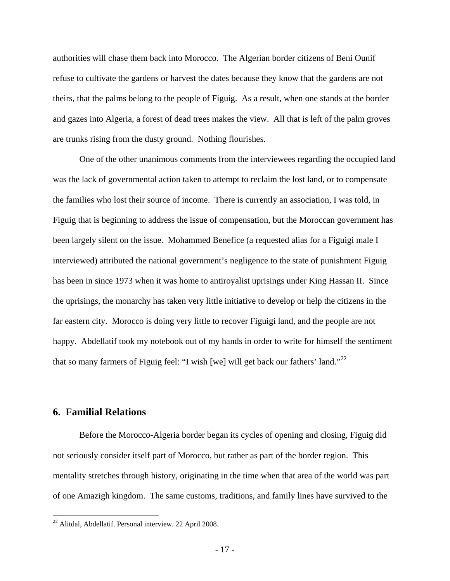<span id="page-17-0"></span>authorities will chase them back into Morocco. The Algerian border citizens of Beni Ounif refuse to cultivate the gardens or harvest the dates because they know that the gardens are not theirs, that the palms belong to the people of Figuig. As a result, when one stands at the border and gazes into Algeria, a forest of dead trees makes the view. All that is left of the palm groves are trunks rising from the dusty ground. Nothing flourishes.

One of the other unanimous comments from the interviewees regarding the occupied land was the lack of governmental action taken to attempt to reclaim the lost land, or to compensate the families who lost their source of income. There is currently an association, I was told, in Figuig that is beginning to address the issue of compensation, but the Moroccan government has been largely silent on the issue. Mohammed Benefice (a requested alias for a Figuigi male I interviewed) attributed the national government's negligence to the state of punishment Figuig has been in since 1973 when it was home to antiroyalist uprisings under King Hassan II. Since the uprisings, the monarchy has taken very little initiative to develop or help the citizens in the far eastern city. Morocco is doing very little to recover Figuigi land, and the people are not happy. Abdellatif took my notebook out of my hands in order to write for himself the sentiment that so many farmers of Figuig feel: "I wish [we] will get back our fathers' land."<sup>[22](#page-17-1)</sup>

## **6. Familial Relations**

 $\overline{a}$ 

 Before the Morocco-Algeria border began its cycles of opening and closing, Figuig did not seriously consider itself part of Morocco, but rather as part of the border region. This mentality stretches through history, originating in the time when that area of the world was part of one Amazigh kingdom. The same customs, traditions, and family lines have survived to the

<span id="page-17-1"></span> $22$  Alitdal, Abdellatif. Personal interview. 22 April 2008.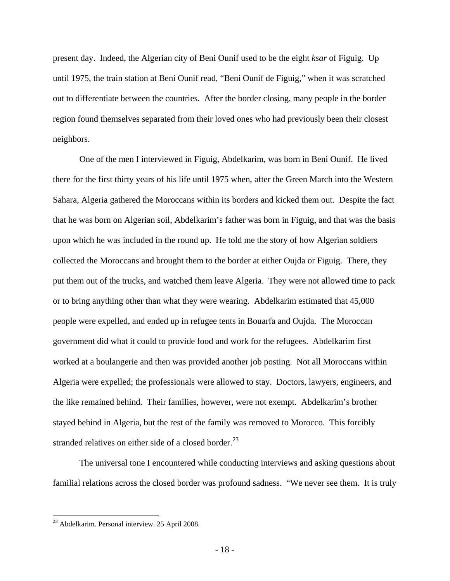present day. Indeed, the Algerian city of Beni Ounif used to be the eight *ksar* of Figuig. Up until 1975, the train station at Beni Ounif read, "Beni Ounif de Figuig," when it was scratched out to differentiate between the countries. After the border closing, many people in the border region found themselves separated from their loved ones who had previously been their closest neighbors.

 One of the men I interviewed in Figuig, Abdelkarim, was born in Beni Ounif. He lived there for the first thirty years of his life until 1975 when, after the Green March into the Western Sahara, Algeria gathered the Moroccans within its borders and kicked them out. Despite the fact that he was born on Algerian soil, Abdelkarim's father was born in Figuig, and that was the basis upon which he was included in the round up. He told me the story of how Algerian soldiers collected the Moroccans and brought them to the border at either Oujda or Figuig. There, they put them out of the trucks, and watched them leave Algeria. They were not allowed time to pack or to bring anything other than what they were wearing. Abdelkarim estimated that 45,000 people were expelled, and ended up in refugee tents in Bouarfa and Oujda. The Moroccan government did what it could to provide food and work for the refugees. Abdelkarim first worked at a boulangerie and then was provided another job posting. Not all Moroccans within Algeria were expelled; the professionals were allowed to stay. Doctors, lawyers, engineers, and the like remained behind. Their families, however, were not exempt. Abdelkarim's brother stayed behind in Algeria, but the rest of the family was removed to Morocco. This forcibly stranded relatives on either side of a closed border. $^{23}$  $^{23}$  $^{23}$ 

 The universal tone I encountered while conducting interviews and asking questions about familial relations across the closed border was profound sadness. "We never see them. It is truly

<span id="page-18-0"></span> $^{23}$  Abdelkarim. Personal interview. 25 April 2008.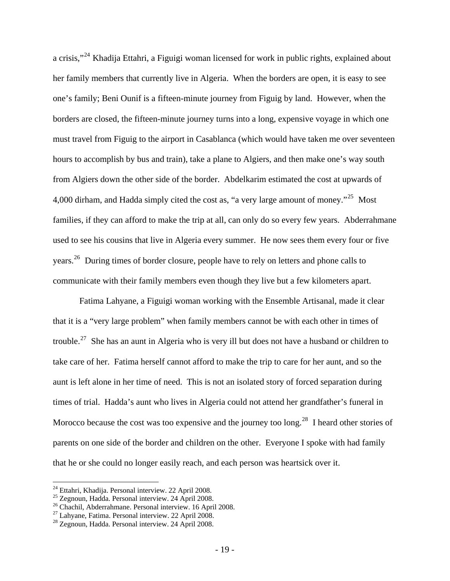a crisis,"<sup>[24](#page-19-0)</sup> Khadija Ettahri, a Figuigi woman licensed for work in public rights, explained about her family members that currently live in Algeria. When the borders are open, it is easy to see one's family; Beni Ounif is a fifteen-minute journey from Figuig by land. However, when the borders are closed, the fifteen-minute journey turns into a long, expensive voyage in which one must travel from Figuig to the airport in Casablanca (which would have taken me over seventeen hours to accomplish by bus and train), take a plane to Algiers, and then make one's way south from Algiers down the other side of the border. Abdelkarim estimated the cost at upwards of 4,000 dirham, and Hadda simply cited the cost as, "a very large amount of money."<sup>[25](#page-19-1)</sup> Most families, if they can afford to make the trip at all, can only do so every few years. Abderrahmane used to see his cousins that live in Algeria every summer. He now sees them every four or five years.<sup>[26](#page-19-2)</sup> During times of border closure, people have to rely on letters and phone calls to communicate with their family members even though they live but a few kilometers apart.

 Fatima Lahyane, a Figuigi woman working with the Ensemble Artisanal, made it clear that it is a "very large problem" when family members cannot be with each other in times of trouble.<sup>[27](#page-19-3)</sup> She has an aunt in Algeria who is very ill but does not have a husband or children to take care of her. Fatima herself cannot afford to make the trip to care for her aunt, and so the aunt is left alone in her time of need. This is not an isolated story of forced separation during times of trial. Hadda's aunt who lives in Algeria could not attend her grandfather's funeral in Morocco because the cost was too expensive and the journey too long.<sup>[28](#page-19-4)</sup> I heard other stories of parents on one side of the border and children on the other. Everyone I spoke with had family that he or she could no longer easily reach, and each person was heartsick over it.

<sup>&</sup>lt;sup>24</sup> Ettahri, Khadija. Personal interview. 22 April 2008.

<span id="page-19-1"></span><span id="page-19-0"></span><sup>25</sup> Zegnoun, Hadda. Personal interview. 24 April 2008.

<span id="page-19-3"></span><span id="page-19-2"></span><sup>&</sup>lt;sup>26</sup> Chachil, Abderrahmane. Personal interview. 16 April 2008.<br><sup>27</sup> Lahyane, Fatima. Personal interview. 22 April 2008.

<span id="page-19-4"></span><sup>28</sup> Zegnoun, Hadda. Personal interview. 24 April 2008.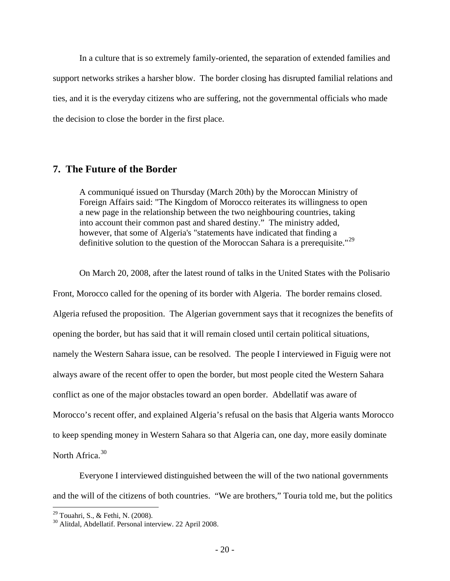<span id="page-20-0"></span> In a culture that is so extremely family-oriented, the separation of extended families and support networks strikes a harsher blow. The border closing has disrupted familial relations and ties, and it is the everyday citizens who are suffering, not the governmental officials who made the decision to close the border in the first place.

### **7. The Future of the Border**

A communiqué issued on Thursday (March 20th) by the Moroccan Ministry of Foreign Affairs said: "The Kingdom of Morocco reiterates its willingness to open a new page in the relationship between the two neighbouring countries, taking into account their common past and shared destiny." The ministry added, however, that some of Algeria's "statements have indicated that finding a definitive solution to the question of the Moroccan Sahara is a prerequisite."<sup>[29](#page-20-1)</sup>

 On March 20, 2008, after the latest round of talks in the United States with the Polisario Front, Morocco called for the opening of its border with Algeria. The border remains closed. Algeria refused the proposition. The Algerian government says that it recognizes the benefits of opening the border, but has said that it will remain closed until certain political situations, namely the Western Sahara issue, can be resolved. The people I interviewed in Figuig were not always aware of the recent offer to open the border, but most people cited the Western Sahara conflict as one of the major obstacles toward an open border. Abdellatif was aware of Morocco's recent offer, and explained Algeria's refusal on the basis that Algeria wants Morocco to keep spending money in Western Sahara so that Algeria can, one day, more easily dominate North Africa.<sup>[30](#page-20-2)</sup>

 Everyone I interviewed distinguished between the will of the two national governments and the will of the citizens of both countries. "We are brothers," Touria told me, but the politics

<span id="page-20-1"></span><sup>&</sup>lt;sup>29</sup> Touahri, S., & Fethi, N. (2008).

<span id="page-20-2"></span><sup>30</sup> Alitdal, Abdellatif. Personal interview. 22 April 2008.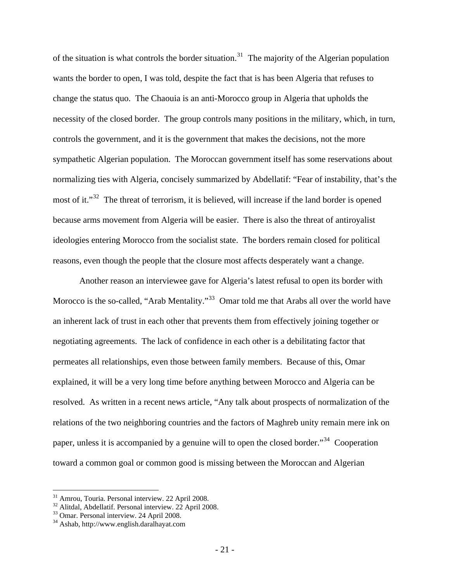of the situation is what controls the border situation.<sup>[31](#page-21-0)</sup> The majority of the Algerian population wants the border to open, I was told, despite the fact that is has been Algeria that refuses to change the status quo. The Chaouia is an anti-Morocco group in Algeria that upholds the necessity of the closed border. The group controls many positions in the military, which, in turn, controls the government, and it is the government that makes the decisions, not the more sympathetic Algerian population. The Moroccan government itself has some reservations about normalizing ties with Algeria, concisely summarized by Abdellatif: "Fear of instability, that's the most of it."<sup>[32](#page-21-1)</sup> The threat of terrorism, it is believed, will increase if the land border is opened because arms movement from Algeria will be easier. There is also the threat of antiroyalist ideologies entering Morocco from the socialist state. The borders remain closed for political reasons, even though the people that the closure most affects desperately want a change.

Another reason an interviewee gave for Algeria's latest refusal to open its border with Morocco is the so-called, "Arab Mentality."<sup>[33](#page-21-2)</sup> Omar told me that Arabs all over the world have an inherent lack of trust in each other that prevents them from effectively joining together or negotiating agreements. The lack of confidence in each other is a debilitating factor that permeates all relationships, even those between family members. Because of this, Omar explained, it will be a very long time before anything between Morocco and Algeria can be resolved. As written in a recent news article, "Any talk about prospects of normalization of the relations of the two neighboring countries and the factors of Maghreb unity remain mere ink on paper, unless it is accompanied by a genuine will to open the closed border."<sup>[34](#page-21-3)</sup> Cooperation toward a common goal or common good is missing between the Moroccan and Algerian

<sup>&</sup>lt;sup>31</sup> Amrou, Touria. Personal interview. 22 April 2008.

<span id="page-21-1"></span><span id="page-21-0"></span> $32$  Alitdal, Abdellatif. Personal interview.  $22$  April 2008.

<span id="page-21-2"></span><sup>33</sup> Omar. Personal interview. 24 April 2008.

<span id="page-21-3"></span><sup>34</sup> Ashab, http://www.english.daralhayat.com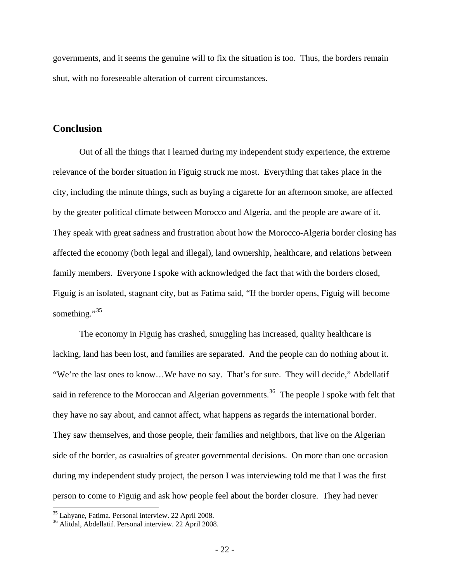<span id="page-22-0"></span>governments, and it seems the genuine will to fix the situation is too. Thus, the borders remain shut, with no foreseeable alteration of current circumstances.

### **Conclusion**

 Out of all the things that I learned during my independent study experience, the extreme relevance of the border situation in Figuig struck me most. Everything that takes place in the city, including the minute things, such as buying a cigarette for an afternoon smoke, are affected by the greater political climate between Morocco and Algeria, and the people are aware of it. They speak with great sadness and frustration about how the Morocco-Algeria border closing has affected the economy (both legal and illegal), land ownership, healthcare, and relations between family members. Everyone I spoke with acknowledged the fact that with the borders closed, Figuig is an isolated, stagnant city, but as Fatima said, "If the border opens, Figuig will become something."<sup>[35](#page-22-1)</sup>

 The economy in Figuig has crashed, smuggling has increased, quality healthcare is lacking, land has been lost, and families are separated. And the people can do nothing about it. "We're the last ones to know…We have no say. That's for sure. They will decide," Abdellatif said in reference to the Moroccan and Algerian governments.<sup>[36](#page-22-2)</sup> The people I spoke with felt that they have no say about, and cannot affect, what happens as regards the international border. They saw themselves, and those people, their families and neighbors, that live on the Algerian side of the border, as casualties of greater governmental decisions. On more than one occasion during my independent study project, the person I was interviewing told me that I was the first person to come to Figuig and ask how people feel about the border closure. They had never

<span id="page-22-1"></span><sup>35</sup> Lahyane, Fatima. Personal interview. 22 April 2008.

<span id="page-22-2"></span><sup>36</sup> Alitdal, Abdellatif. Personal interview. 22 April 2008.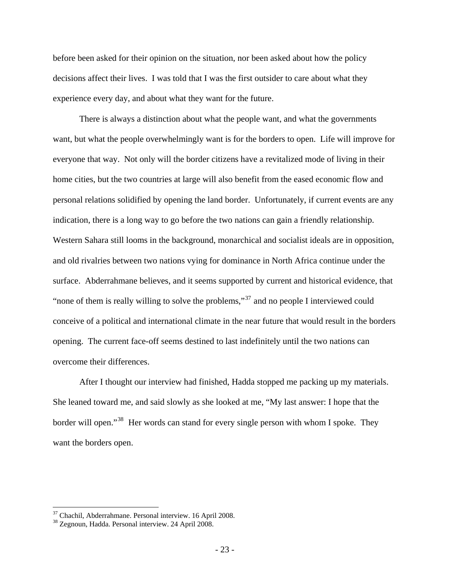before been asked for their opinion on the situation, nor been asked about how the policy decisions affect their lives. I was told that I was the first outsider to care about what they experience every day, and about what they want for the future.

There is always a distinction about what the people want, and what the governments want, but what the people overwhelmingly want is for the borders to open. Life will improve for everyone that way. Not only will the border citizens have a revitalized mode of living in their home cities, but the two countries at large will also benefit from the eased economic flow and personal relations solidified by opening the land border. Unfortunately, if current events are any indication, there is a long way to go before the two nations can gain a friendly relationship. Western Sahara still looms in the background, monarchical and socialist ideals are in opposition, and old rivalries between two nations vying for dominance in North Africa continue under the surface. Abderrahmane believes, and it seems supported by current and historical evidence, that "none of them is really willing to solve the problems,"<sup>[37](#page-23-0)</sup> and no people I interviewed could conceive of a political and international climate in the near future that would result in the borders opening. The current face-off seems destined to last indefinitely until the two nations can overcome their differences.

 After I thought our interview had finished, Hadda stopped me packing up my materials. She leaned toward me, and said slowly as she looked at me, "My last answer: I hope that the border will open."<sup>[38](#page-23-1)</sup> Her words can stand for every single person with whom I spoke. They want the borders open.

<span id="page-23-1"></span><span id="page-23-0"></span> $37$  Chachil, Abderrahmane. Personal interview. 16 April 2008.<br> $38$  Zegnoun, Hadda. Personal interview. 24 April 2008.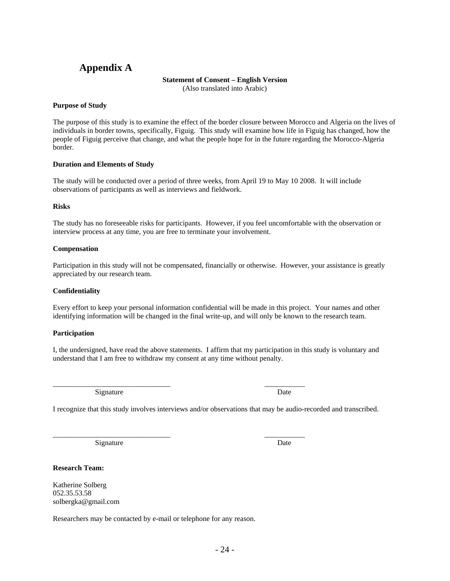## <span id="page-24-0"></span>**Appendix A**

#### **Statement of Consent – English Version**

(Also translated into Arabic)

#### **Purpose of Study**

The purpose of this study is to examine the effect of the border closure between Morocco and Algeria on the lives of individuals in border towns, specifically, Figuig. This study will examine how life in Figuig has changed, how the people of Figuig perceive that change, and what the people hope for in the future regarding the Morocco-Algeria border.

#### **Duration and Elements of Study**

The study will be conducted over a period of three weeks, from April 19 to May 10 2008. It will include observations of participants as well as interviews and fieldwork.

#### **Risks**

The study has no foreseeable risks for participants. However, if you feel uncomfortable with the observation or interview process at any time, you are free to terminate your involvement.

#### **Compensation**

Participation in this study will not be compensated, financially or otherwise. However, your assistance is greatly appreciated by our research team.

#### **Confidentiality**

Every effort to keep your personal information confidential will be made in this project. Your names and other identifying information will be changed in the final write-up, and will only be known to the research team.

### **Participation**

I, the undersigned, have read the above statements. I affirm that my participation in this study is voluntary and understand that I am free to withdraw my consent at any time without penalty.

\_\_\_\_\_\_\_\_\_\_\_\_\_\_\_\_\_\_\_\_\_\_\_\_\_\_\_\_\_\_\_\_ \_\_\_\_\_\_\_\_\_\_\_ Signature Date

I recognize that this study involves interviews and/or observations that may be audio-recorded and transcribed.

\_\_\_\_\_\_\_\_\_\_\_\_\_\_\_\_\_\_\_\_\_\_\_\_\_\_\_\_\_\_\_\_ \_\_\_\_\_\_\_\_\_\_\_

Signature Date

**Research Team:** 

Katherine Solberg 052.35.53.58 solbergka@gmail.com

Researchers may be contacted by e-mail or telephone for any reason.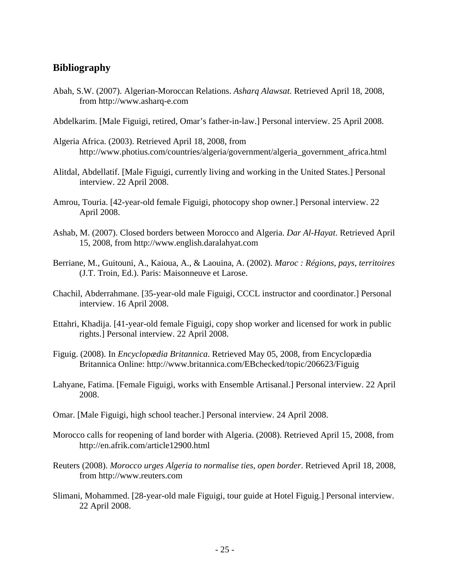## <span id="page-25-0"></span>**Bibliography**

- Abah, S.W. (2007). Algerian-Moroccan Relations. *Asharq Alawsat*. Retrieved April 18, 2008, from http://www.asharq-e.com
- Abdelkarim. [Male Figuigi, retired, Omar's father-in-law.] Personal interview. 25 April 2008.
- Algeria Africa. (2003). Retrieved April 18, 2008, from http://www.photius.com/countries/algeria/government/algeria\_government\_africa.html
- Alitdal, Abdellatif. [Male Figuigi, currently living and working in the United States.] Personal interview. 22 April 2008.
- Amrou, Touria. [42-year-old female Figuigi, photocopy shop owner.] Personal interview. 22 April 2008.
- Ashab, M. (2007). Closed borders between Morocco and Algeria. *Dar Al-Hayat*. Retrieved April 15, 2008, from http://www.english.daralahyat.com
- Berriane, M., Guitouni, A., Kaioua, A., & Laouina, A. (2002). *Maroc : Régions, pays, territoires* (J.T. Troin, Ed.). Paris: Maisonneuve et Larose.
- Chachil, Abderrahmane. [35-year-old male Figuigi, CCCL instructor and coordinator.] Personal interview. 16 April 2008.
- Ettahri, Khadija. [41-year-old female Figuigi, copy shop worker and licensed for work in public rights.] Personal interview. 22 April 2008.
- Figuig. (2008). In *Encyclopædia Britannica*. Retrieved May 05, 2008, from Encyclopædia Britannica Online: http://www.britannica.com/EBchecked/topic/206623/Figuig
- Lahyane, Fatima. [Female Figuigi, works with Ensemble Artisanal.] Personal interview. 22 April 2008.
- Omar. [Male Figuigi, high school teacher.] Personal interview. 24 April 2008.
- Morocco calls for reopening of land border with Algeria. (2008). Retrieved April 15, 2008, from http://en.afrik.com/article12900.html
- Reuters (2008). *Morocco urges Algeria to normalise ties, open border*. Retrieved April 18, 2008, from http://www.reuters.com
- Slimani, Mohammed. [28-year-old male Figuigi, tour guide at Hotel Figuig.] Personal interview. 22 April 2008.